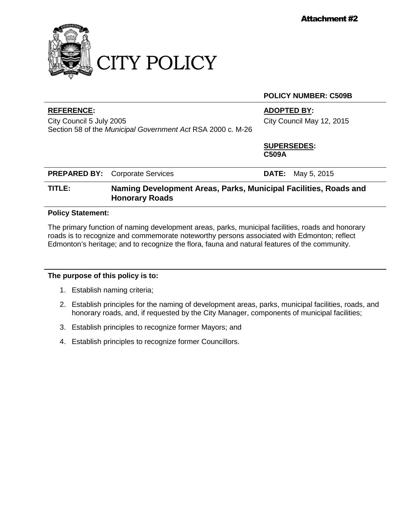

#### **POLICY NUMBER: C509B**

### **REFERENCE: ADOPTED BY:**

City Council 5 July 2005 Section 58 of the *Municipal Government Act* RSA 2000 c. M-26 City Council May 12, 2015

**SUPERSEDES: C509A**

|  | <b>PREPARED BY:</b> Corporate Services |  | <b>DATE:</b> May 5, 2015 |
|--|----------------------------------------|--|--------------------------|
|--|----------------------------------------|--|--------------------------|

# **TITLE: Naming Development Areas, Parks, Municipal Facilities, Roads and Honorary Roads**

#### **Policy Statement:**

The primary function of naming development areas, parks, municipal facilities, roads and honorary roads is to recognize and commemorate noteworthy persons associated with Edmonton; reflect Edmonton's heritage; and to recognize the flora, fauna and natural features of the community.

#### **The purpose of this policy is to:**

- 1. Establish naming criteria;
- 2. Establish principles for the naming of development areas, parks, municipal facilities, roads, and honorary roads, and, if requested by the City Manager, components of municipal facilities;
- 3. Establish principles to recognize former Mayors; and
- 4. Establish principles to recognize former Councillors.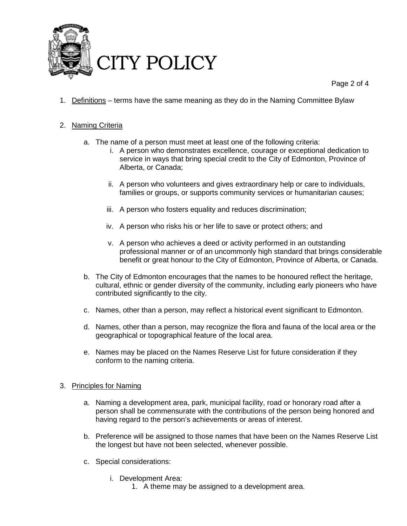

Page 2 of 4

1. Definitions – terms have the same meaning as they do in the Naming Committee Bylaw

## 2. Naming Criteria

- a. The name of a person must meet at least one of the following criteria:
	- i. A person who demonstrates excellence, courage or exceptional dedication to service in ways that bring special credit to the City of Edmonton, Province of Alberta, or Canada;
	- ii. A person who volunteers and gives extraordinary help or care to individuals, families or groups, or supports community services or humanitarian causes;
	- iii. A person who fosters equality and reduces discrimination;
	- iv. A person who risks his or her life to save or protect others; and
	- v. A person who achieves a deed or activity performed in an outstanding professional manner or of an uncommonly high standard that brings considerable benefit or great honour to the City of Edmonton, Province of Alberta, or Canada.
- b. The City of Edmonton encourages that the names to be honoured reflect the heritage, cultural, ethnic or gender diversity of the community, including early pioneers who have contributed significantly to the city.
- c. Names, other than a person, may reflect a historical event significant to Edmonton.
- d. Names, other than a person, may recognize the flora and fauna of the local area or the geographical or topographical feature of the local area.
- e. Names may be placed on the Names Reserve List for future consideration if they conform to the naming criteria.

#### 3. Principles for Naming

- a. Naming a development area, park, municipal facility, road or honorary road after a person shall be commensurate with the contributions of the person being honored and having regard to the person's achievements or areas of interest.
- b. Preference will be assigned to those names that have been on the Names Reserve List the longest but have not been selected, whenever possible.
- c. Special considerations:
	- i. Development Area:
		- 1. A theme may be assigned to a development area.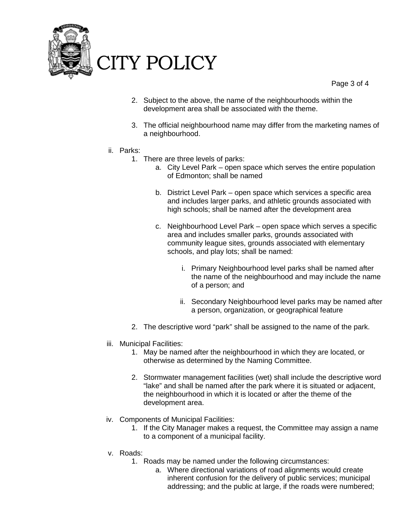

Page 3 of 4

- 2. Subject to the above, the name of the neighbourhoods within the development area shall be associated with the theme.
- 3. The official neighbourhood name may differ from the marketing names of a neighbourhood.
- ii. Parks:
	- 1. There are three levels of parks:
		- a. City Level Park open space which serves the entire population of Edmonton; shall be named
		- b. District Level Park open space which services a specific area and includes larger parks, and athletic grounds associated with high schools; shall be named after the development area
		- c. Neighbourhood Level Park open space which serves a specific area and includes smaller parks, grounds associated with community league sites, grounds associated with elementary schools, and play lots; shall be named:
			- i. Primary Neighbourhood level parks shall be named after the name of the neighbourhood and may include the name of a person; and
			- ii. Secondary Neighbourhood level parks may be named after a person, organization, or geographical feature
	- 2. The descriptive word "park" shall be assigned to the name of the park.
- iii. Municipal Facilities:
	- 1. May be named after the neighbourhood in which they are located, or otherwise as determined by the Naming Committee.
	- 2. Stormwater management facilities (wet) shall include the descriptive word "lake" and shall be named after the park where it is situated or adjacent, the neighbourhood in which it is located or after the theme of the development area.
- iv. Components of Municipal Facilities:
	- 1. If the City Manager makes a request, the Committee may assign a name to a component of a municipal facility.
- v. Roads:
	- 1. Roads may be named under the following circumstances:
		- a. Where directional variations of road alignments would create inherent confusion for the delivery of public services; municipal addressing; and the public at large, if the roads were numbered;